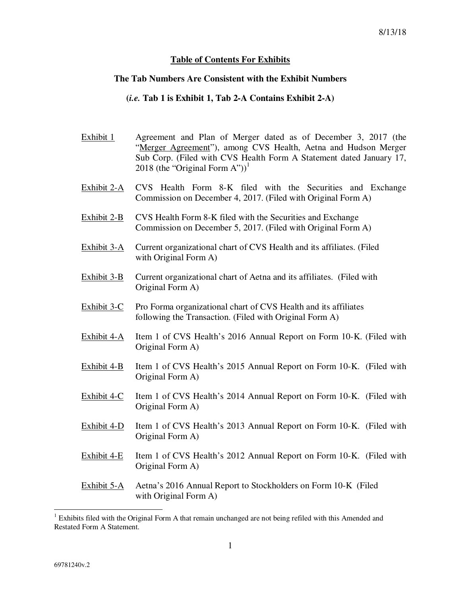## **Table of Contents For Exhibits**

## **The Tab Numbers Are Consistent with the Exhibit Numbers**

## **(***i.e.* **Tab 1 is Exhibit 1, Tab 2-A Contains Exhibit 2-A)**

- Exhibit 1 Agreement and Plan of Merger dated as of December 3, 2017 (the "Merger Agreement"), among CVS Health, Aetna and Hudson Merger Sub Corp. (Filed with CVS Health Form A Statement dated January 17, 2018 (the "Original Form A"))<sup>1</sup>
- Exhibit 2-A CVS Health Form 8-K filed with the Securities and Exchange Commission on December 4, 2017. (Filed with Original Form A)
- Exhibit 2-B CVS Health Form 8-K filed with the Securities and Exchange Commission on December 5, 2017. (Filed with Original Form A)
- Exhibit 3-A Current organizational chart of CVS Health and its affiliates. (Filed with Original Form A)
- Exhibit 3-B Current organizational chart of Aetna and its affiliates. (Filed with Original Form A)
- Exhibit 3-C Pro Forma organizational chart of CVS Health and its affiliates following the Transaction. (Filed with Original Form A)
- Exhibit 4-A Item 1 of CVS Health's 2016 Annual Report on Form 10-K. (Filed with Original Form A)
- Exhibit 4-B Item 1 of CVS Health's 2015 Annual Report on Form 10-K. (Filed with Original Form A)
- Exhibit 4-C Item 1 of CVS Health's 2014 Annual Report on Form 10-K. (Filed with Original Form A)
- Exhibit 4-D Item 1 of CVS Health's 2013 Annual Report on Form 10-K. (Filed with Original Form A)
- Exhibit 4-E Item 1 of CVS Health's 2012 Annual Report on Form 10-K. (Filed with Original Form A)
- Exhibit 5-A Aetna's 2016 Annual Report to Stockholders on Form 10-K (Filed with Original Form A)

<sup>&</sup>lt;sup>1</sup> Exhibits filed with the Original Form A that remain unchanged are not being refiled with this Amended and Restated Form A Statement.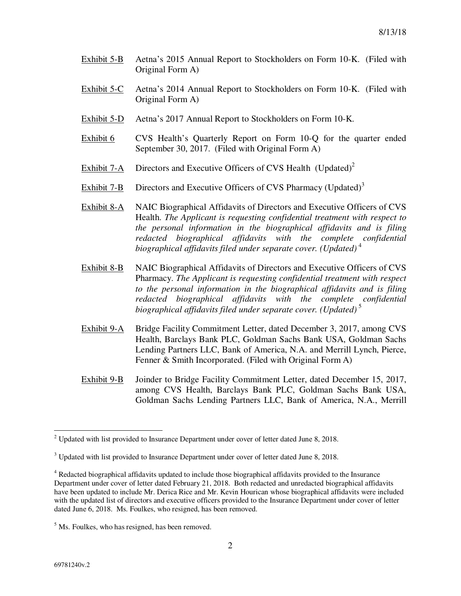- Exhibit 5-B Aetna's 2015 Annual Report to Stockholders on Form 10-K. (Filed with Original Form A)
- Exhibit 5-C Aetna's 2014 Annual Report to Stockholders on Form 10-K. (Filed with Original Form A)
- Exhibit 5-D Aetna's 2017 Annual Report to Stockholders on Form 10-K.
- Exhibit 6 CVS Health's Quarterly Report on Form 10-Q for the quarter ended September 30, 2017. (Filed with Original Form A)
- Exhibit 7-A Directors and Executive Officers of CVS Health (Updated)<sup>2</sup>
- Exhibit 7-B Directors and Executive Officers of CVS Pharmacy (Updated)<sup>3</sup>
- Exhibit 8-A NAIC Biographical Affidavits of Directors and Executive Officers of CVS Health. *The Applicant is requesting confidential treatment with respect to the personal information in the biographical affidavits and is filing redacted biographical affidavits with the complete confidential biographical affidavits filed under separate cover. (Updated)*<sup>4</sup>
- Exhibit 8-B NAIC Biographical Affidavits of Directors and Executive Officers of CVS Pharmacy. *The Applicant is requesting confidential treatment with respect to the personal information in the biographical affidavits and is filing redacted biographical affidavits with the complete confidential biographical affidavits filed under separate cover. (Updated)*<sup>5</sup>
- Exhibit 9-A Bridge Facility Commitment Letter, dated December 3, 2017, among CVS Health, Barclays Bank PLC, Goldman Sachs Bank USA, Goldman Sachs Lending Partners LLC, Bank of America, N.A. and Merrill Lynch, Pierce, Fenner & Smith Incorporated. (Filed with Original Form A)
- Exhibit 9-B Joinder to Bridge Facility Commitment Letter, dated December 15, 2017, among CVS Health, Barclays Bank PLC, Goldman Sachs Bank USA, Goldman Sachs Lending Partners LLC, Bank of America, N.A., Merrill

<sup>&</sup>lt;sup>2</sup> Updated with list provided to Insurance Department under cover of letter dated June 8, 2018.

 $3$  Updated with list provided to Insurance Department under cover of letter dated June 8, 2018.

<sup>&</sup>lt;sup>4</sup> Redacted biographical affidavits updated to include those biographical affidavits provided to the Insurance Department under cover of letter dated February 21, 2018. Both redacted and unredacted biographical affidavits have been updated to include Mr. Derica Rice and Mr. Kevin Hourican whose biographical affidavits were included with the updated list of directors and executive officers provided to the Insurance Department under cover of letter dated June 6, 2018. Ms. Foulkes, who resigned, has been removed.

<sup>&</sup>lt;sup>5</sup> Ms. Foulkes, who has resigned, has been removed.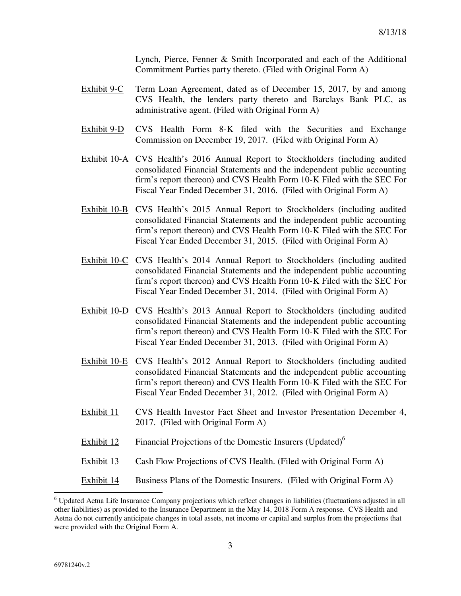Lynch, Pierce, Fenner & Smith Incorporated and each of the Additional Commitment Parties party thereto. (Filed with Original Form A)

- Exhibit 9-C Term Loan Agreement, dated as of December 15, 2017, by and among CVS Health, the lenders party thereto and Barclays Bank PLC, as administrative agent. (Filed with Original Form A)
- Exhibit 9-D CVS Health Form 8-K filed with the Securities and Exchange Commission on December 19, 2017. (Filed with Original Form A)
- Exhibit 10-A CVS Health's 2016 Annual Report to Stockholders (including audited consolidated Financial Statements and the independent public accounting firm's report thereon) and CVS Health Form 10-K Filed with the SEC For Fiscal Year Ended December 31, 2016. (Filed with Original Form A)
- Exhibit 10-B CVS Health's 2015 Annual Report to Stockholders (including audited consolidated Financial Statements and the independent public accounting firm's report thereon) and CVS Health Form 10-K Filed with the SEC For Fiscal Year Ended December 31, 2015. (Filed with Original Form A)
- Exhibit 10-C CVS Health's 2014 Annual Report to Stockholders (including audited consolidated Financial Statements and the independent public accounting firm's report thereon) and CVS Health Form 10-K Filed with the SEC For Fiscal Year Ended December 31, 2014. (Filed with Original Form A)
- Exhibit 10-D CVS Health's 2013 Annual Report to Stockholders (including audited consolidated Financial Statements and the independent public accounting firm's report thereon) and CVS Health Form 10-K Filed with the SEC For Fiscal Year Ended December 31, 2013. (Filed with Original Form A)
- Exhibit 10-E CVS Health's 2012 Annual Report to Stockholders (including audited consolidated Financial Statements and the independent public accounting firm's report thereon) and CVS Health Form 10-K Filed with the SEC For Fiscal Year Ended December 31, 2012. (Filed with Original Form A)
- Exhibit 11 CVS Health Investor Fact Sheet and Investor Presentation December 4, 2017. (Filed with Original Form A)
- Exhibit 12 Financial Projections of the Domestic Insurers (Updated)<sup>6</sup>
- Exhibit 13 Cash Flow Projections of CVS Health. (Filed with Original Form A)
- Exhibit 14 Business Plans of the Domestic Insurers. (Filed with Original Form A)

<sup>&</sup>lt;sup>6</sup> Updated Aetna Life Insurance Company projections which reflect changes in liabilities (fluctuations adjusted in all other liabilities) as provided to the Insurance Department in the May 14, 2018 Form A response. CVS Health and Aetna do not currently anticipate changes in total assets, net income or capital and surplus from the projections that were provided with the Original Form A.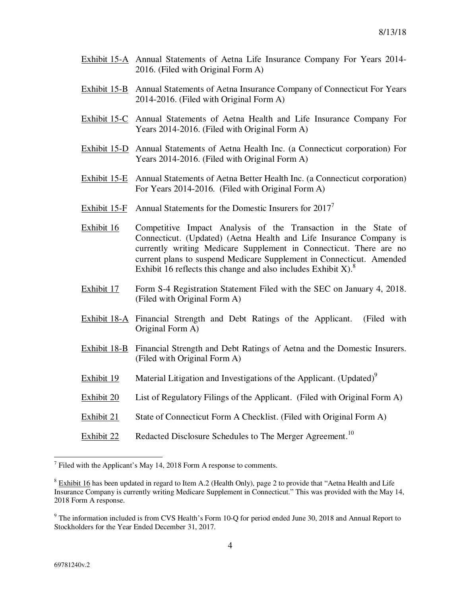- Exhibit 15-A Annual Statements of Aetna Life Insurance Company For Years 2014- 2016. (Filed with Original Form A)
- Exhibit 15-B Annual Statements of Aetna Insurance Company of Connecticut For Years 2014-2016. (Filed with Original Form A)
- Exhibit 15-C Annual Statements of Aetna Health and Life Insurance Company For Years 2014-2016. (Filed with Original Form A)
- Exhibit 15-D Annual Statements of Aetna Health Inc. (a Connecticut corporation) For Years 2014-2016. (Filed with Original Form A)
- Exhibit 15-E Annual Statements of Aetna Better Health Inc. (a Connecticut corporation) For Years 2014-2016. (Filed with Original Form A)
- Exhibit 15-F Annual Statements for the Domestic Insurers for  $2017<sup>7</sup>$
- Exhibit 16 Competitive Impact Analysis of the Transaction in the State of Connecticut. (Updated) (Aetna Health and Life Insurance Company is currently writing Medicare Supplement in Connecticut. There are no current plans to suspend Medicare Supplement in Connecticut. Amended Exhibit 16 reflects this change and also includes Exhibit X $^{8}$ .
- Exhibit 17 Form S-4 Registration Statement Filed with the SEC on January 4, 2018. (Filed with Original Form A)
- Exhibit 18-A Financial Strength and Debt Ratings of the Applicant. (Filed with Original Form A)
- Exhibit 18-B Financial Strength and Debt Ratings of Aetna and the Domestic Insurers. (Filed with Original Form A)
- Exhibit 19 Material Litigation and Investigations of the Applicant. (Updated)<sup>9</sup>
- Exhibit 20 List of Regulatory Filings of the Applicant. (Filed with Original Form A)
- Exhibit 21 State of Connecticut Form A Checklist. (Filed with Original Form A)
- Exhibit 22 Redacted Disclosure Schedules to The Merger Agreement.<sup>10</sup>

<sup>&</sup>lt;sup>7</sup> Filed with the Applicant's May 14, 2018 Form A response to comments.

 $8$  Exhibit 16 has been updated in regard to Item A.2 (Health Only), page 2 to provide that "Aetna Health and Life Insurance Company is currently writing Medicare Supplement in Connecticut." This was provided with the May 14, 2018 Form A response.

<sup>&</sup>lt;sup>9</sup> The information included is from CVS Health's Form 10-Q for period ended June 30, 2018 and Annual Report to Stockholders for the Year Ended December 31, 2017.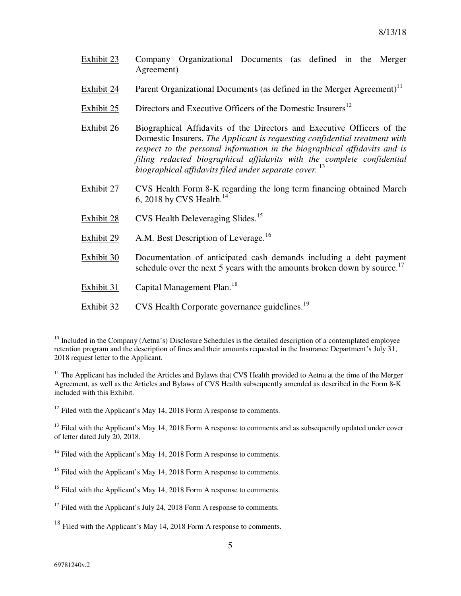- Exhibit 23 Company Organizational Documents (as defined in the Merger Agreement)
- Exhibit 24 Parent Organizational Documents (as defined in the Merger Agreement)<sup>11</sup>
- Exhibit 25 Directors and Executive Officers of the Domestic Insurers<sup>12</sup>

Exhibit 26 Biographical Affidavits of the Directors and Executive Officers of the Domestic Insurers. *The Applicant is requesting confidential treatment with respect to the personal information in the biographical affidavits and is filing redacted biographical affidavits with the complete confidential biographical affidavits filed under separate cover.*<sup>13</sup>

- Exhibit 27 CVS Health Form 8-K regarding the long term financing obtained March 6, 2018 by CVS Health. $14$
- Exhibit 28  $\,$  CVS Health Deleveraging Slides.<sup>15</sup>
- Exhibit 29 A.M. Best Description of Leverage.<sup>16</sup>
- Exhibit 30 Documentation of anticipated cash demands including a debt payment schedule over the next 5 years with the amounts broken down by source.<sup>17</sup>
- Exhibit 31 Capital Management Plan.<sup>18</sup>

Exhibit 32 CVS Health Corporate governance guidelines.<sup>19</sup>

 $<sup>11</sup>$  The Applicant has included the Articles and Bylaws that CVS Health provided to Aetna at the time of the Merger</sup> Agreement, as well as the Articles and Bylaws of CVS Health subsequently amended as described in the Form 8-K included with this Exhibit.

 $12$  Filed with the Applicant's May 14, 2018 Form A response to comments.

 $^{13}$  Filed with the Applicant's May 14, 2018 Form A response to comments and as subsequently updated under cover of letter dated July 20, 2018.

- $14$  Filed with the Applicant's May 14, 2018 Form A response to comments.
- <sup>15</sup> Filed with the Applicant's May 14, 2018 Form A response to comments.

 $10$  Included in the Company (Aetna's) Disclosure Schedules is the detailed description of a contemplated employee retention program and the description of fines and their amounts requested in the Insurance Department's July 31, 2018 request letter to the Applicant.

<sup>&</sup>lt;sup>16</sup> Filed with the Applicant's May 14, 2018 Form A response to comments.

 $17$  Filed with the Applicant's July 24, 2018 Form A response to comments.

 $18$  Filed with the Applicant's May 14, 2018 Form A response to comments.